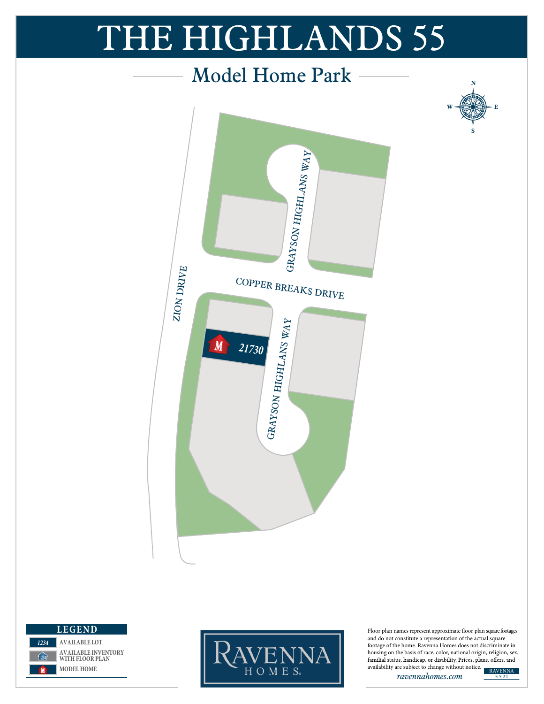## *Firethorne* THE HIGHLANDS 55







Floor plan names represent approximate floor plan square footages and do not constitute a representation of the actual square footage of the home. Ravenna Homes does not discriminate in housing on the basis of race, color, national origin, religion, sex, familial status, handicap, or disability. Prices, plans, offers, and

**N**

**S**

**W --{{}} E** 

*ravennahomes.com*